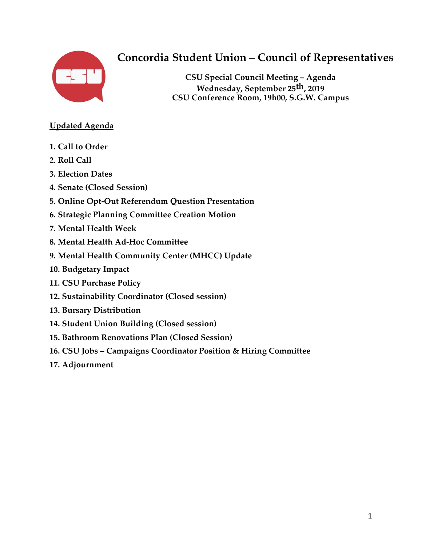

# **Concordia Student Union – Council of Representatives**

**CSU Special Council Meeting – Agenda Wednesday, September 25th, 2019 CSU Conference Room, 19h00, S.G.W. Campus**

### **Updated Agenda**

- **1. Call to Order**
- **2. Roll Call**
- **3. Election Dates**
- **4. Senate (Closed Session)**
- **5. Online Opt-Out Referendum Question Presentation**
- **6. Strategic Planning Committee Creation Motion**
- **7. Mental Health Week**
- **8. Mental Health Ad-Hoc Committee**
- **9. Mental Health Community Center (MHCC) Update**
- **10. Budgetary Impact**
- **11. CSU Purchase Policy**
- **12. Sustainability Coordinator (Closed session)**
- **13. Bursary Distribution**
- **14. Student Union Building (Closed session)**
- **15. Bathroom Renovations Plan (Closed Session)**
- **16. CSU Jobs – Campaigns Coordinator Position & Hiring Committee**
- **17. Adjournment**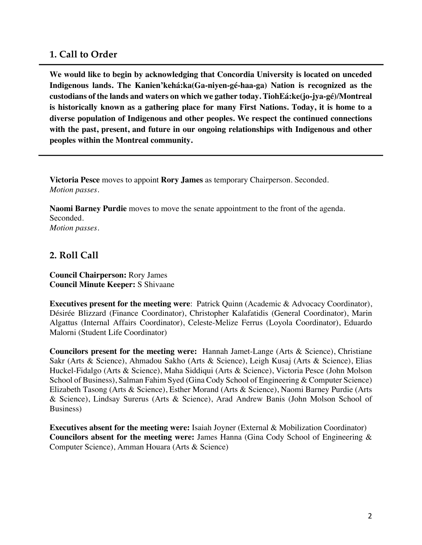### **1. Call to Order**

**We would like to begin by acknowledging that Concordia University is located on unceded Indigenous lands. The Kanien'kehá:ka(Ga-niyen-gé-haa-ga) Nation is recognized as the custodians of the lands and waters on which we gather today. TiohEá:ke(jo-jya-gé)/Montreal is historically known as a gathering place for many First Nations. Today, it is home to a diverse population of Indigenous and other peoples. We respect the continued connections with the past, present, and future in our ongoing relationships with Indigenous and other peoples within the Montreal community.** 

**Victoria Pesce** moves to appoint **Rory James** as temporary Chairperson. Seconded. *Motion passes.*

**Naomi Barney Purdie** moves to move the senate appointment to the front of the agenda. Seconded. *Motion passes.*

### **2. Roll Call**

**Council Chairperson:** Rory James **Council Minute Keeper:** S Shivaane

**Executives present for the meeting were**: Patrick Quinn (Academic & Advocacy Coordinator), Désirée Blizzard (Finance Coordinator), Christopher Kalafatidis (General Coordinator), Marin Algattus (Internal Affairs Coordinator), Celeste-Melize Ferrus (Loyola Coordinator), Eduardo Malorni (Student Life Coordinator)

**Councilors present for the meeting were:** Hannah Jamet-Lange (Arts & Science), Christiane Sakr (Arts & Science), Ahmadou Sakho (Arts & Science), Leigh Kusaj (Arts & Science), Elias Huckel-Fidalgo (Arts & Science), Maha Siddiqui (Arts & Science), Victoria Pesce (John Molson School of Business), Salman Fahim Syed (Gina Cody School of Engineering & Computer Science) Elizabeth Tasong (Arts & Science), Esther Morand (Arts & Science), Naomi Barney Purdie (Arts & Science), Lindsay Surerus (Arts & Science), Arad Andrew Banis (John Molson School of Business)

**Executives absent for the meeting were:** Isaiah Joyner (External & Mobilization Coordinator) **Councilors absent for the meeting were:** James Hanna (Gina Cody School of Engineering & Computer Science), Amman Houara (Arts & Science)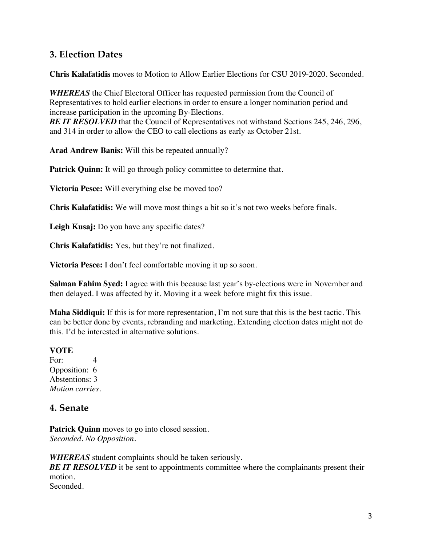### **3. Election Dates**

**Chris Kalafatidis** moves to Motion to Allow Earlier Elections for CSU 2019-2020. Seconded.

*WHEREAS* the Chief Electoral Officer has requested permission from the Council of Representatives to hold earlier elections in order to ensure a longer nomination period and increase participation in the upcoming By-Elections. **BE IT RESOLVED** that the Council of Representatives not withstand Sections 245, 246, 296, and 314 in order to allow the CEO to call elections as early as October 21st.

**Arad Andrew Banis:** Will this be repeated annually?

**Patrick Quinn:** It will go through policy committee to determine that.

**Victoria Pesce:** Will everything else be moved too?

**Chris Kalafatidis:** We will move most things a bit so it's not two weeks before finals.

**Leigh Kusaj:** Do you have any specific dates?

**Chris Kalafatidis:** Yes, but they're not finalized.

**Victoria Pesce:** I don't feel comfortable moving it up so soon.

**Salman Fahim Syed:** I agree with this because last year's by-elections were in November and then delayed. I was affected by it. Moving it a week before might fix this issue.

**Maha Siddiqui:** If this is for more representation, I'm not sure that this is the best tactic. This can be better done by events, rebranding and marketing. Extending election dates might not do this. I'd be interested in alternative solutions.

#### **VOTE**

For: 4 Opposition: 6 Abstentions: 3 *Motion carries.*

### **4. Senate**

Patrick Quinn moves to go into closed session. *Seconded. No Opposition.*

*WHEREAS* student complaints should be taken seriously. **BE IT RESOLVED** it be sent to appointments committee where the complainants present their motion. Seconded.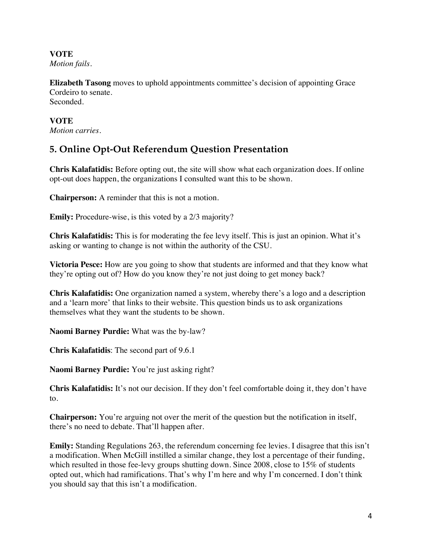**VOTE**  *Motion fails.*

**Elizabeth Tasong** moves to uphold appointments committee's decision of appointing Grace Cordeiro to senate. Seconded.

**VOTE**  *Motion carries.*

# **5. Online Opt-Out Referendum Question Presentation**

**Chris Kalafatidis:** Before opting out, the site will show what each organization does. If online opt-out does happen, the organizations I consulted want this to be shown.

**Chairperson:** A reminder that this is not a motion.

**Emily:** Procedure-wise, is this voted by a 2/3 majority?

**Chris Kalafatidis:** This is for moderating the fee levy itself. This is just an opinion. What it's asking or wanting to change is not within the authority of the CSU.

**Victoria Pesce:** How are you going to show that students are informed and that they know what they're opting out of? How do you know they're not just doing to get money back?

**Chris Kalafatidis:** One organization named a system, whereby there's a logo and a description and a 'learn more' that links to their website. This question binds us to ask organizations themselves what they want the students to be shown.

**Naomi Barney Purdie:** What was the by-law?

**Chris Kalafatidis**: The second part of 9.6.1

**Naomi Barney Purdie:** You're just asking right?

**Chris Kalafatidis:** It's not our decision. If they don't feel comfortable doing it, they don't have to.

**Chairperson:** You're arguing not over the merit of the question but the notification in itself, there's no need to debate. That'll happen after.

**Emily:** Standing Regulations 263, the referendum concerning fee levies. I disagree that this isn't a modification. When McGill instilled a similar change, they lost a percentage of their funding, which resulted in those fee-levy groups shutting down. Since 2008, close to 15% of students opted out, which had ramifications. That's why I'm here and why I'm concerned. I don't think you should say that this isn't a modification.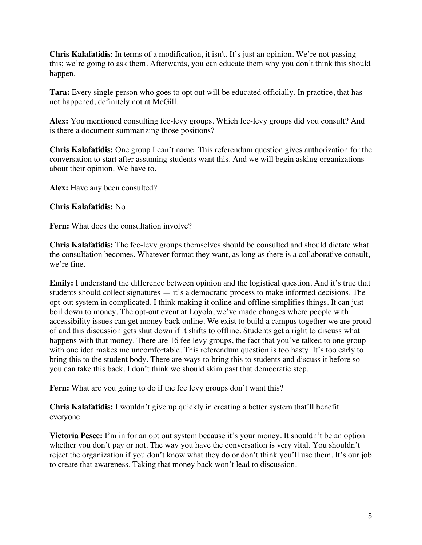**Chris Kalafatidis**: In terms of a modification, it isn't. It's just an opinion. We're not passing this; we're going to ask them. Afterwards, you can educate them why you don't think this should happen.

**Tara:** Every single person who goes to opt out will be educated officially. In practice, that has not happened, definitely not at McGill.

**Alex:** You mentioned consulting fee-levy groups. Which fee-levy groups did you consult? And is there a document summarizing those positions?

**Chris Kalafatidis:** One group I can't name. This referendum question gives authorization for the conversation to start after assuming students want this. And we will begin asking organizations about their opinion. We have to.

Alex: Have any been consulted?

#### **Chris Kalafatidis:** No

**Fern:** What does the consultation involve?

**Chris Kalafatidis:** The fee-levy groups themselves should be consulted and should dictate what the consultation becomes. Whatever format they want, as long as there is a collaborative consult, we're fine.

**Emily:** I understand the difference between opinion and the logistical question. And it's true that students should collect signatures — it's a democratic process to make informed decisions. The opt-out system in complicated. I think making it online and offline simplifies things. It can just boil down to money. The opt-out event at Loyola, we've made changes where people with accessibility issues can get money back online. We exist to build a campus together we are proud of and this discussion gets shut down if it shifts to offline. Students get a right to discuss what happens with that money. There are 16 fee levy groups, the fact that you've talked to one group with one idea makes me uncomfortable. This referendum question is too hasty. It's too early to bring this to the student body. There are ways to bring this to students and discuss it before so you can take this back. I don't think we should skim past that democratic step.

Fern: What are you going to do if the fee levy groups don't want this?

**Chris Kalafatidis:** I wouldn't give up quickly in creating a better system that'll benefit everyone.

**Victoria Pesce:** I'm in for an opt out system because it's your money. It shouldn't be an option whether you don't pay or not. The way you have the conversation is very vital. You shouldn't reject the organization if you don't know what they do or don't think you'll use them. It's our job to create that awareness. Taking that money back won't lead to discussion.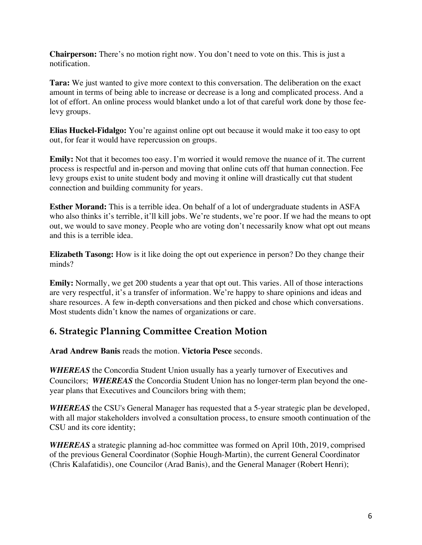**Chairperson:** There's no motion right now. You don't need to vote on this. This is just a notification.

**Tara:** We just wanted to give more context to this conversation. The deliberation on the exact amount in terms of being able to increase or decrease is a long and complicated process. And a lot of effort. An online process would blanket undo a lot of that careful work done by those feelevy groups.

**Elias Huckel-Fidalgo:** You're against online opt out because it would make it too easy to opt out, for fear it would have repercussion on groups.

**Emily:** Not that it becomes too easy. I'm worried it would remove the nuance of it. The current process is respectful and in-person and moving that online cuts off that human connection. Fee levy groups exist to unite student body and moving it online will drastically cut that student connection and building community for years.

**Esther Morand:** This is a terrible idea. On behalf of a lot of undergraduate students in ASFA who also thinks it's terrible, it'll kill jobs. We're students, we're poor. If we had the means to opt out, we would to save money. People who are voting don't necessarily know what opt out means and this is a terrible idea.

**Elizabeth Tasong:** How is it like doing the opt out experience in person? Do they change their minds?

**Emily:** Normally, we get 200 students a year that opt out. This varies. All of those interactions are very respectful, it's a transfer of information. We're happy to share opinions and ideas and share resources. A few in-depth conversations and then picked and chose which conversations. Most students didn't know the names of organizations or care.

### **6. Strategic Planning Committee Creation Motion**

**Arad Andrew Banis** reads the motion. **Victoria Pesce** seconds.

*WHEREAS* the Concordia Student Union usually has a yearly turnover of Executives and Councilors; *WHEREAS* the Concordia Student Union has no longer-term plan beyond the oneyear plans that Executives and Councilors bring with them;

*WHEREAS* the CSU's General Manager has requested that a 5-year strategic plan be developed, with all major stakeholders involved a consultation process, to ensure smooth continuation of the CSU and its core identity;

*WHEREAS* a strategic planning ad-hoc committee was formed on April 10th, 2019, comprised of the previous General Coordinator (Sophie Hough-Martin), the current General Coordinator (Chris Kalafatidis), one Councilor (Arad Banis), and the General Manager (Robert Henri);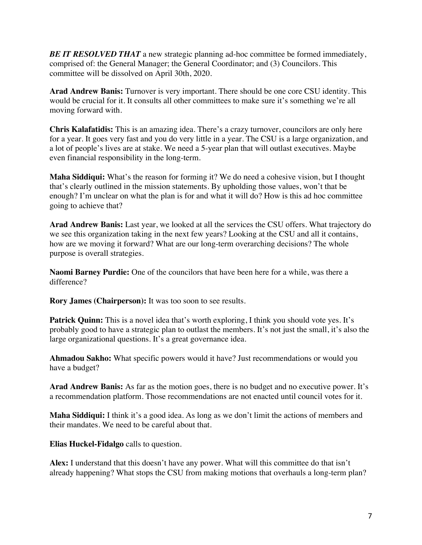*BE IT RESOLVED THAT* a new strategic planning ad-hoc committee be formed immediately, comprised of: the General Manager; the General Coordinator; and (3) Councilors. This committee will be dissolved on April 30th, 2020.

**Arad Andrew Banis:** Turnover is very important. There should be one core CSU identity. This would be crucial for it. It consults all other committees to make sure it's something we're all moving forward with.

**Chris Kalafatidis:** This is an amazing idea. There's a crazy turnover, councilors are only here for a year. It goes very fast and you do very little in a year. The CSU is a large organization, and a lot of people's lives are at stake. We need a 5-year plan that will outlast executives. Maybe even financial responsibility in the long-term.

**Maha Siddiqui:** What's the reason for forming it? We do need a cohesive vision, but I thought that's clearly outlined in the mission statements. By upholding those values, won't that be enough? I'm unclear on what the plan is for and what it will do? How is this ad hoc committee going to achieve that?

**Arad Andrew Banis:** Last year, we looked at all the services the CSU offers. What trajectory do we see this organization taking in the next few years? Looking at the CSU and all it contains, how are we moving it forward? What are our long-term overarching decisions? The whole purpose is overall strategies.

**Naomi Barney Purdie:** One of the councilors that have been here for a while, was there a difference?

**Rory James (Chairperson):** It was too soon to see results.

**Patrick Quinn:** This is a novel idea that's worth exploring, I think you should vote yes. It's probably good to have a strategic plan to outlast the members. It's not just the small, it's also the large organizational questions. It's a great governance idea.

**Ahmadou Sakho:** What specific powers would it have? Just recommendations or would you have a budget?

**Arad Andrew Banis:** As far as the motion goes, there is no budget and no executive power. It's a recommendation platform. Those recommendations are not enacted until council votes for it.

**Maha Siddiqui:** I think it's a good idea. As long as we don't limit the actions of members and their mandates. We need to be careful about that.

**Elias Huckel-Fidalgo** calls to question.

**Alex:** I understand that this doesn't have any power. What will this committee do that isn't already happening? What stops the CSU from making motions that overhauls a long-term plan?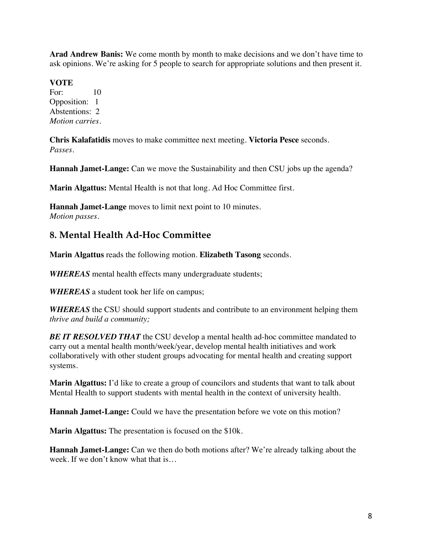**Arad Andrew Banis:** We come month by month to make decisions and we don't have time to ask opinions. We're asking for 5 people to search for appropriate solutions and then present it.

#### **VOTE**

For: 10 Opposition: 1 Abstentions: 2 *Motion carries.*

**Chris Kalafatidis** moves to make committee next meeting. **Victoria Pesce** seconds. *Passes.* 

**Hannah Jamet-Lange:** Can we move the Sustainability and then CSU jobs up the agenda?

**Marin Algattus:** Mental Health is not that long. Ad Hoc Committee first.

**Hannah Jamet-Lange** moves to limit next point to 10 minutes. *Motion passes.* 

### **8. Mental Health Ad-Hoc Committee**

**Marin Algattus** reads the following motion. **Elizabeth Tasong** seconds.

*WHEREAS* mental health effects many undergraduate students;

*WHEREAS* a student took her life on campus;

*WHEREAS* the CSU should support students and contribute to an environment helping them *thrive and build a community;* 

**BE IT RESOLVED THAT** the CSU develop a mental health ad-hoc committee mandated to carry out a mental health month/week/year, develop mental health initiatives and work collaboratively with other student groups advocating for mental health and creating support systems.

**Marin Algattus:** I'd like to create a group of councilors and students that want to talk about Mental Health to support students with mental health in the context of university health.

**Hannah Jamet-Lange:** Could we have the presentation before we vote on this motion?

**Marin Algattus:** The presentation is focused on the \$10k.

**Hannah Jamet-Lange:** Can we then do both motions after? We're already talking about the week. If we don't know what that is…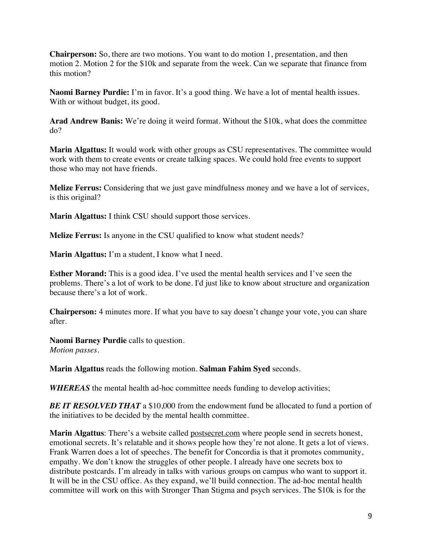**Chairperson:** So, there are two motions. You want to do motion 1, presentation, and then motion 2. Motion 2 for the \$10k and separate from the week. Can we separate that finance from this motion?

**Naomi Barney Purdie:** I'm in favor. It's a good thing. We have a lot of mental health issues. With or without budget, its good.

**Arad Andrew Banis:** We're doing it weird format. Without the \$10k, what does the committee do?

**Marin Algattus:** It would work with other groups as CSU representatives. The committee would work with them to create events or create talking spaces. We could hold free events to support those who may not have friends.

**Melize Ferrus:** Considering that we just gave mindfulness money and we have a lot of services, is this original?

**Marin Algattus:** I think CSU should support those services.

**Melize Ferrus:** Is anyone in the CSU qualified to know what student needs?

**Marin Algattus:** I'm a student, I know what I need.

**Esther Morand:** This is a good idea. I've used the mental health services and I've seen the problems. There's a lot of work to be done. I'd just like to know about structure and organization because there's a lot of work.

**Chairperson:** 4 minutes more. If what you have to say doesn't change your vote, you can share after.

**Naomi Barney Purdie** calls to question. *Motion passes.* 

**Marin Algattus** reads the following motion. **Salman Fahim Syed** seconds.

*WHEREAS* the mental health ad-hoc committee needs funding to develop activities;

**BE IT RESOLVED THAT** a \$10,000 from the endowment fund be allocated to fund a portion of the initiatives to be decided by the mental health committee.

**Marin Algattus**: There's a website called postsecret.com where people send in secrets honest, emotional secrets. It's relatable and it shows people how they're not alone. It gets a lot of views. Frank Warren does a lot of speeches. The benefit for Concordia is that it promotes community, empathy. We don't know the struggles of other people. I already have one secrets box to distribute postcards. I'm already in talks with various groups on campus who want to support it. It will be in the CSU office. As they expand, we'll build connection. The ad-hoc mental health committee will work on this with Stronger Than Stigma and psych services. The \$10k is for the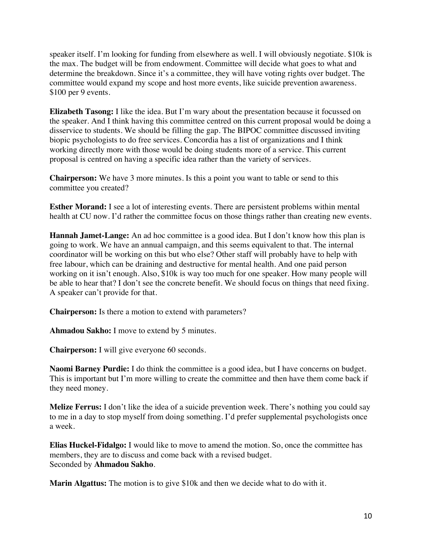speaker itself. I'm looking for funding from elsewhere as well. I will obviously negotiate. \$10k is the max. The budget will be from endowment. Committee will decide what goes to what and determine the breakdown. Since it's a committee, they will have voting rights over budget. The committee would expand my scope and host more events, like suicide prevention awareness. \$100 per 9 events.

**Elizabeth Tasong:** I like the idea. But I'm wary about the presentation because it focussed on the speaker. And I think having this committee centred on this current proposal would be doing a disservice to students. We should be filling the gap. The BIPOC committee discussed inviting biopic psychologists to do free services. Concordia has a list of organizations and I think working directly more with those would be doing students more of a service. This current proposal is centred on having a specific idea rather than the variety of services.

**Chairperson:** We have 3 more minutes. Is this a point you want to table or send to this committee you created?

**Esther Morand:** I see a lot of interesting events. There are persistent problems within mental health at CU now. I'd rather the committee focus on those things rather than creating new events.

**Hannah Jamet-Lange:** An ad hoc committee is a good idea. But I don't know how this plan is going to work. We have an annual campaign, and this seems equivalent to that. The internal coordinator will be working on this but who else? Other staff will probably have to help with free labour, which can be draining and destructive for mental health. And one paid person working on it isn't enough. Also, \$10k is way too much for one speaker. How many people will be able to hear that? I don't see the concrete benefit. We should focus on things that need fixing. A speaker can't provide for that.

**Chairperson:** Is there a motion to extend with parameters?

**Ahmadou Sakho:** I move to extend by 5 minutes.

**Chairperson:** I will give everyone 60 seconds.

**Naomi Barney Purdie:** I do think the committee is a good idea, but I have concerns on budget. This is important but I'm more willing to create the committee and then have them come back if they need money.

**Melize Ferrus:** I don't like the idea of a suicide prevention week. There's nothing you could say to me in a day to stop myself from doing something. I'd prefer supplemental psychologists once a week.

**Elias Huckel-Fidalgo:** I would like to move to amend the motion. So, once the committee has members, they are to discuss and come back with a revised budget. Seconded by **Ahmadou Sakho**.

**Marin Algattus:** The motion is to give \$10k and then we decide what to do with it.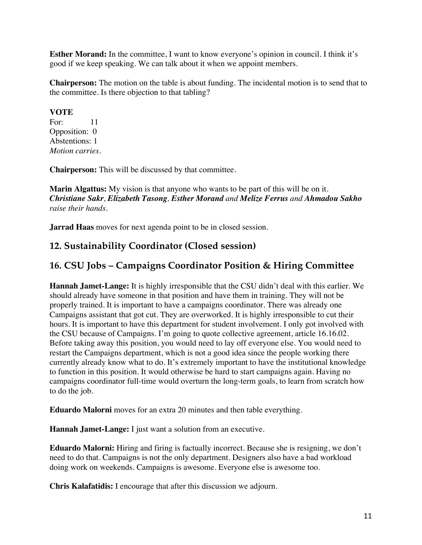**Esther Morand:** In the committee, I want to know everyone's opinion in council. I think it's good if we keep speaking. We can talk about it when we appoint members.

**Chairperson:** The motion on the table is about funding. The incidental motion is to send that to the committee. Is there objection to that tabling?

#### **VOTE**

For: 11 Opposition: 0 Abstentions: 1 *Motion carries.*

**Chairperson:** This will be discussed by that committee.

**Marin Algattus:** My vision is that anyone who wants to be part of this will be on it. *Christiane Sakr, Elizabeth Tasong, Esther Morand and Melize Ferrus and Ahmadou Sakho raise their hands.* 

**Jarrad Haas** moves for next agenda point to be in closed session.

# **12. Sustainability Coordinator (Closed session)**

# **16. CSU Jobs – Campaigns Coordinator Position & Hiring Committee**

**Hannah Jamet-Lange:** It is highly irresponsible that the CSU didn't deal with this earlier. We should already have someone in that position and have them in training. They will not be properly trained. It is important to have a campaigns coordinator. There was already one Campaigns assistant that got cut. They are overworked. It is highly irresponsible to cut their hours. It is important to have this department for student involvement. I only got involved with the CSU because of Campaigns. I'm going to quote collective agreement, article 16.16.02. Before taking away this position, you would need to lay off everyone else. You would need to restart the Campaigns department, which is not a good idea since the people working there currently already know what to do. It's extremely important to have the institutional knowledge to function in this position. It would otherwise be hard to start campaigns again. Having no campaigns coordinator full-time would overturn the long-term goals, to learn from scratch how to do the job.

**Eduardo Malorni** moves for an extra 20 minutes and then table everything.

**Hannah Jamet-Lange:** I just want a solution from an executive.

**Eduardo Malorni:** Hiring and firing is factually incorrect. Because she is resigning, we don't need to do that. Campaigns is not the only department. Designers also have a bad workload doing work on weekends. Campaigns is awesome. Everyone else is awesome too.

**Chris Kalafatidis:** I encourage that after this discussion we adjourn.